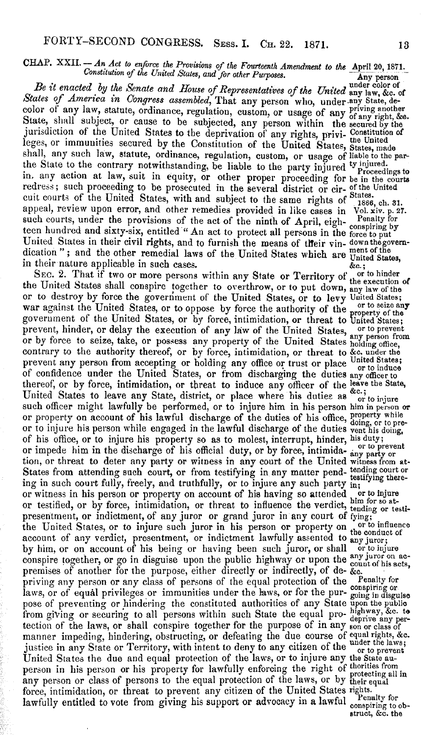## CHAP. XXII. - *An Act to enforce the Provisions of the Fourteenth Amendment to the April 20, 1871.*<br>*Constitution of the United States, and for other Purposes.* Any person

under color of *Be it enacted by the Senate and House of Representatives of the United* any law, &c. of *States of America in Congress assembled,* That any person who, under any State, decolor of any law, statute, ordinance, regulation, custom, or usage of any priving another State, shall subject, or cause to be subjected, any person within the secured by the jurisdiction of the United States to the deprivation of any rights, privi- Constitution of leges, or immunities secured by the Constitution of the United States, States, made shall, any such law, statute, ordinance, regulation, custom, or usage of liable to the parshall, any such law, statute, orthance, regulation, custom, or usage of motor of the State to the contrary notwithstanding, be liable to the party injured <sup>ty injured.</sup> in. any action at law, suit in equity, or other proper proceeding for be in the courts redress; such proceeding to be prosecuted in the several district or cir- of the United cuit courts of the United States, with and subject to the same rights of <sup>States.</sup> appeal, review upon error, and other remedies provided in like cases in Vol. xiv. p. 27. such courts, under the provisions of the act of the ninth of April, eigh- $_{\rm remaining\,blue}^{\rm penalty\, for}$ teen hundred and sixty-six, entitled " An act to protect all persons in the force to put United States in their civil rights, and to furnish the means of their vin- downthegovemdication"; and the other remedial laws of the United States which are United States. in their nature applicable in such cases.  $\delta c$ .;

SEC. 2. That if two or more persons within any State or Territory of  $\frac{1}{100}$  or to hinder the United States shall conspire together to overthrow, or to put down, any law of the or to destroy by force the government of the United States, or to levy United States;<br>were govined the United States and the proceeding war against the United States, or to oppose by force the authority of the property of the United States, or by force, intimidation, or threat to United States; prevent, hinder, or delay the execution of any law of the United States, or to prevent or by force to seize, take, or possess any property of the United States holding office, contrary to the authority thereof, or by force, intimidation, or threat to &c. under the prevent any person from accepting or holding any office or trust or place United States; of confidence under the United States, or from discharging the duties any officer to thereof, or by force, intimidation, or threat to induce any officer of the leave the State, United States to leave any State, district, or place where his duties as or to injure such officer might lawfully be performed, or to injure him in his person him in person or or property on account of his lawful discharge of the duties of his office, property while<br>or to injure his person while engaged in the lawful discharge of the duties vent his doing,<br>or to preof his office, or to injure his property so as to molest, interrupt, hinder, his duty; or impede him in the discharge of his official duty, or by force, intimida- any party or<br>tion, or threat to deter any party or witness in any court of the United witness from at-States from attending such court, or from testifying in any matter pend- tending court or ing in such court fully, freely, and truthfully, or to injure any such party in; ing in such court tuny, freely, and truthdary, or to injure any soon property in<br>or witness in his person or property on account of his having so attended or to influence<br>or testified, or by force, intimidation, or threat presentment, or indictment, of any juror or grand juror in any court of fying;<br>the United States or to injure such juror in his person or property on or to influence the United States, or to injure such juror in his person or property on or to influence the conduct of account of any verdict, presentment, or indictment lawfully assented to any juror;<br>by him, or on account of his being or having been such juror, or shall or to injure by him, or on account of his being or having been such juror, or shall or to injure conspire together, or go in disguise upon the public highway or upon the count of his acts. conspire together, or go in upguise upon the purpose, either directly or indirectly, of de- &c. priving any person or any class of persons of the equal protection of the Penalty for laws, or of equal privileges or immunities under the laws, or for the pur- going in disguise pose of preventing or hindering the constituted authorities of any State upon the public from giving or securing to all persons within such State the equal pro- nightway, &c. to-<br>tection of the laws, or shall conspire together for the purpose of in any son or class of<br>manner impeding, hindering, obstructing, o manner impeding, hindering, obstructing, or defeating the due course of equal rights, &c.<br>justice in any State or Territory, with intent to deny to any citizen of the under the laws;<br> $\frac{1}{2}$ Justice in any state or *x* erritory, with intent to deny to any citizen of the or to prevent<br>United States the due and equal protection of the laws, or to injure any the State auperson in his person or his property for lawfully enforcing the right of thorities from person in his person or his property for lawfully enforcing the right of protecting all in<br>any person or class of persons to the equal protection of the laws, or by their equal<br> any person or class of persons to the equal person of the United States rights. lawfully entitled to vote from giving his support or advocacy in a lawful conspiring to ob-

struct, &c. the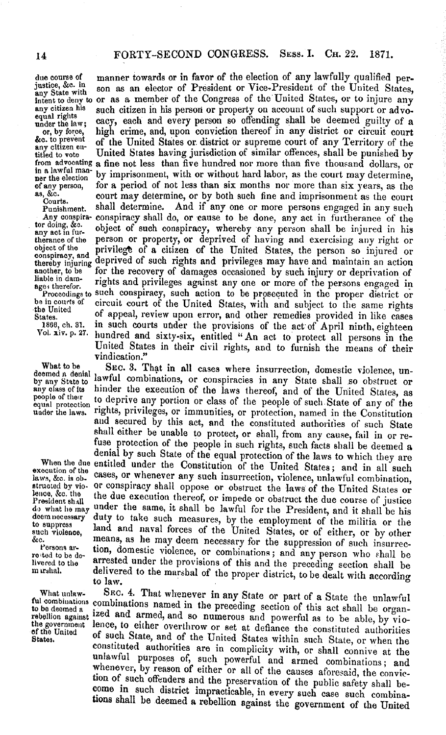due course of manner towards or in favor of the election of any lawfully qualified per-<br>justice, &c. in son as an elector of President or Vice-President of the United States justice, &c. in son as an elector of President or Vice-President of the United States, intent to deny to or as a member of the Congress of the United States, or to injure any any citizen his such citizen in his person or property on account of such support or advo-<br>equal rights w. cacy, each and every person under the law; cacy, each and every person so onenuing shall be deemed guilty of a or, by force, high crime, and, upon conviction thereof in any district or circuit court  $\&c$ , to prevent of the United States or district &c. to prevent of the United States or district or supreme court of any Territory of the any citizen en-<br>titled to vote United States having jurisdiction of similar offences, shall be punished by titled to vote<br>from advocating a fine not less than five hundred nor more than five thousand dollars, or<br>in a lawful man-<br>part is determined to more than five thousand dollars, or<br>ner the election by imprisonment, with or of any person, for a period of not less than six months nor more than six years, as the court may determine, or by both such fine and imprisonment as the court Courts.  $a_1, \&c_2, \&c_3, \&c_4, \&c_5, \&c_6, \&c_7, \&c_8, \&c_7, \&c_8, \&c_9, \&c_8, \&c_9, \&c_9, \&c_9, \&c_9, \&c_9, \&c_9, \&c_9, \&c_9, \&c_9, \&c_9, \&c_9, \&c_9, \&c_9, \&c_9, \&c_9, \&c_9, \&c_9, \&c_9, \&c_9, \&c_9, \&c_9, \&c_9, \&c_9, \&c_9, \&c_9,$ Cours.<br>Punishment. shall determine. And if any one or more persons engaged in any such<br>Any conspira- conspiracy shall do, or cause to be done, any act in furtherance of the Any conspira- conspiracy shall do, or cause to be done, any act in furtherance of the tor doing, &c. tor doing, &c. object of such conspiracy, whereby any person shall be injured in his therance of the person or property, or deprived of having and exercising any right or therance of the person or property, or deprived of having and exercising any right or object of the privilege of a citizen of the United States, the person so injured or conspiracy, and deprived of such rights and regular thereby injuring deprived of such rights and privileges may have and maintain an action<br>another, to be for the recovery of damages occasioned by such injury or deprivation of another, to be  $\tilde{ }$  for the recovery of damages occasioned by such injury or deprivation of liable in dam-<br>ages therefor. rights and privileges against any one or more of the persons engaged in<br> $\tilde{ }$ Proceedings to su be in courts of circuit court of the United States, with and subject to the same rights the United States. States. The appear, review upon error, and other remedies provided in like cases<br>1866, ch. 31. in such courts under the provisions of the act of April ninth, eighteen<br>Vol. xiv. p. 27. hundred and sixty-six, entitled "An ac United States in their civil rights, and to furnish the means of their vindication."

What to be SEC. 3. That in all cases where insurrection, domestic violence, undeemed a denial lawful combinations, or conspiracies in any State shall so obstruct or by any State to dawful combinations, or conspiracies in any State shall so obstruct or any olass of ta people of their to deprive any portion or class of the people of such State of any of the<br>equal protection, rights, privileges, or immunities, or protection, named in the Constitution rights, privileges, or immunities, or protection, named in the Constitution and secured by this act, and the constituted authorities of such State shall either be unable to protect, or shall, from any cause, fail in or refuse protection of the people in such rights, such facts shall be deemed a denial by such State of the equal protection of the laws to which they are execution of the entitled under the Constitution of the United States; a laws, &c. is ob- cases, or whenever any such insurrection, violence, unlawful combination, strutted by vio- Or conspiracy shall oppose or obstruct the laws of the United States or lence, &c. the the due execution thereof, or impede or obstruct the due course of justice<br>President shall the may under the same, it shall be lawful for the President, and it shall be his discussion what what the same, it shall be lawful for the President, and it shall be his<br>deem necessary duty to take such measures, by the employment of the will be his deem necessary duty to take such measures, by the employment of the militia or the to suppress land and naval forces of the United States, or of either, or by other to suppress land and naval forces of the United States, or of either, or by other<br>such violence, means, as he may deem necessary for the suppression of such insurreco. we means, as he may deem necessary for the suppression of such insurrec-Persons are tion, domestic violence, or combinations; and any person who shall be livered to the arrested under the provisions of this and the preceding section shall be murshal. delivered to the marshal of the proper district, to be dealt with according to law.

What unlaw- SEc. 4. That whenever in any State or part of a State the unlawful ful combinations combinations named in the preceding section of this act shall be organ-<br>to be deemed a rebellion against ized and armed, and so numerous and powerful as to be able, by vio-<br>the government lence, to either the government lence, to either overthrow or set at defiance the constituted authorities of the United of such State, and of the United States within such State, or when the constituted authorities are in complicity with, or shall connive at the unlawful purposes of, such powerful and armed combinations; and whenever, by reason of either or all of the causes aforesaid, the conviction of such offenders and the preservation of the public safety shall be- come in such district impracticable, in every such case such combinations shall be deemed a rebellion against the government of the United